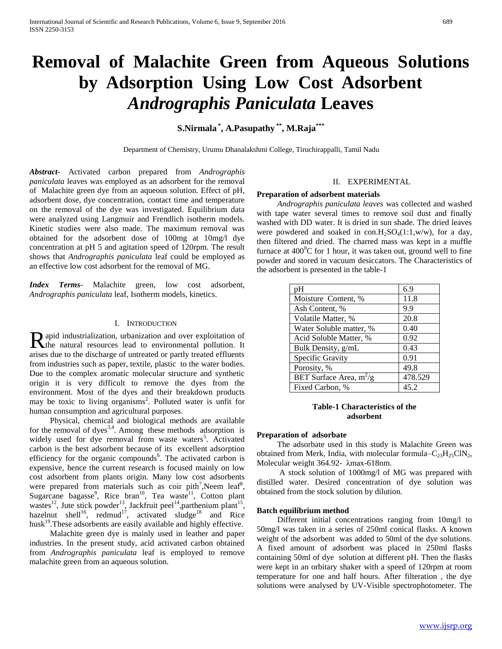# **Removal of Malachite Green from Aqueous Solutions by Adsorption Using Low Cost Adsorbent**  *Andrographis Paniculata* **Leaves**

## **S.Nirmala \* , A.Pasupathy \*\*, M.Raja\*\*\***

Department of Chemistry, Urumu Dhanalakshmi College, Tiruchirappalli, Tamil Nadu

*Abstract***-** Activated carbon prepared from *Andrographis paniculata* leaves was employed as an adsorbent for the removal of Malachite green dye from an aqueous solution. Effect of pH, adsorbent dose, dye concentration, contact time and temperature on the removal of the dye was investigated. Equilibrium data were analyzed using Langmuir and Frendlich isotherm models. Kinetic studies were also made. The maximum removal was obtained for the adsorbent dose of 100mg at 10mg/l dye concentration at pH 5 and agitation speed of 120rpm. The result shows that *Andrographis paniculata* leaf could be employed as an effective low cost adsorbent for the removal of MG.

*Index Terms*- Malachite green, low cost adsorbent, *Andrographis paniculata* leaf, Isotherm models, kinetics.

#### I. INTRODUCTION

apid industrialization, urbanization and over exploitation of Rapid industrialization, urbanization and over exploitation of the natural resources lead to environmental pollution. It arises due to the discharge of untreated or partly treated effluents from industries such as paper, textile, plastic to the water bodies. Due to the complex aromatic molecular structure and synthetic origin it is very difficult to remove the dyes from the environment. Most of the dyes and their breakdown products may be toxic to living organisms<sup>2</sup>. Polluted water is unfit for human consumption and agricultural purposes.

 Physical, chemical and biological methods are available for the removal of dyes<sup>3,4</sup>. Among these methods adsorption is widely used for dye removal from waste waters<sup>5</sup>. Activated carbon is the best adsorbent because of its excellent adsorption efficiency for the organic compounds<sup>6</sup>. The activated carbon is expensive, hence the current research is focused mainly on low cost adsorbent from plants origin. Many low cost adsorbents were prepared from materials such as coir pith<sup>7</sup>, Neem leaf<sup>8</sup>, Sugarcane bagasse<sup>9</sup>, Rice bran<sup>10</sup>, Tea waste<sup>11</sup>, Cotton plant wastes<sup>12</sup>, Jute stick powder<sup>13</sup>, Jackfruit peel<sup>14</sup>, parthenium plant<sup>15</sup>, hazelnut shell<sup>16</sup>, redmud<sup>17</sup>, activated sludge<sup>18</sup> and Rice husk<sup>19</sup>. These adsorbents are easily available and highly effective.

 Malachite green dye is mainly used in leather and paper industries. In the present study, acid activated carbon obtained from *Andrographis paniculata* leaf is employed to remove malachite green from an aqueous solution.

## II. EXPERIMENTAL

#### **Preparation of adsorbent materials**

 *Andrographis paniculata leaves* was collected and washed with tape water several times to remove soil dust and finally washed with DD water. It is dried in sun shade. The dried leaves were powdered and soaked in  $con.H<sub>2</sub>SO<sub>4</sub>(1:1,w/w)$ , for a day, then filtered and dried. The charred mass was kept in a muffle furnace at  $400^{\circ}$ C for 1 hour, it was taken out, ground well to fine powder and stored in vacuum desiccators. The Characteristics of the adsorbent is presented in the table-1

|                           | 6.9     |
|---------------------------|---------|
| pH                        |         |
| Moisture Content, %       | 11.8    |
| Ash Content, %            | 9.9     |
| Volatile Matter, %        | 20.8    |
| Water Soluble matter, %   | 0.40    |
| Acid Soluble Matter, %    | 0.92    |
| Bulk Density, g/mL        | 0.43    |
| Specific Gravity          | 0.91    |
| Porosity, %               | 49.8    |
| BET Surface Area, $m^2/g$ | 478.529 |
| Fixed Carbon, %           | 45.2    |

## **Table-1 Characteristics of the adsorbent**

#### **Preparation of adsorbate**

 The adsorbate used in this study is Malachite Green was obtained from Merk, India, with molecular formula– $C_{23}H_{25}CIN_2$ , Molecular weight 364.92- λmax-618nm.

 A stock solution of 1000mg/l of MG was prepared with distilled water. Desired concentration of dye solution was obtained from the stock solution by dilution.

#### **Batch equilibrium method**

 Different initial concentrations ranging from 10mg/l to 50mg/l was taken in a series of 250ml conical flasks. A known weight of the adsorbent was added to 50ml of the dye solutions. A fixed amount of adsorbent was placed in 250ml flasks containing 50ml of dye solution at different pH. Then the flasks were kept in an orbitary shaker with a speed of 120rpm at room temperature for one and half hours. After filteration , the dye solutions were analysed by UV-Visible spectrophotometer. The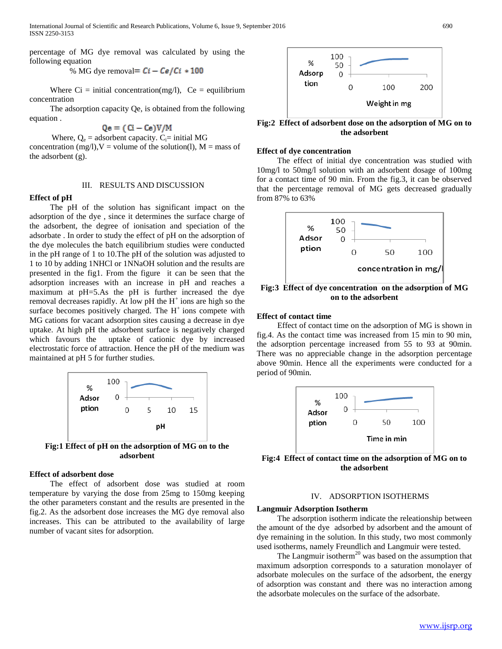percentage of MG dye removal was calculated by using the following equation

% MG dye removal=  $Ci - Ce/Ci * 100$ 

Where  $Ci = initial concentration(mg/l)$ ,  $Ce = equilibrium$ concentration

 The adsorption capacity Qe, is obtained from the following equation .

$$
Qe = (Ci - Ce)V/M
$$

Where,  $Q_e$  = adsorbent capacity.  $C_i$ = initial MG

concentration (mg/l),  $V =$  volume of the solution(l),  $M =$  mass of the adsorbent (g).

#### III. RESULTS AND DISCUSSION

## **Effect of pH**

 The pH of the solution has significant impact on the adsorption of the dye , since it determines the surface charge of the adsorbent, the degree of ionisation and speciation of the adsorbate . In order to study the effect of pH on the adsorption of the dye molecules the batch equilibrium studies were conducted in the pH range of 1 to 10.The pH of the solution was adjusted to 1 to 10 by adding 1NHCl or 1NNaOH solution and the results are presented in the fig1. From the figure it can be seen that the adsorption increases with an increase in pH and reaches a maximum at pH=5.As the pH is further increased the dye removal decreases rapidly. At low pH the  $H^+$  ions are high so the surface becomes positively charged. The  $H^+$  ions compete with MG cations for vacant adsorption sites causing a decrease in dye uptake. At high pH the adsorbent surface is negatively charged which favours the uptake of cationic dye by increased electrostatic force of attraction. Hence the pH of the medium was maintained at pH 5 for further studies.



**adsorbent**

## **Effect of adsorbent dose**

 The effect of adsorbent dose was studied at room temperature by varying the dose from 25mg to 150mg keeping the other parameters constant and the results are presented in the fig.2. As the adsorbent dose increases the MG dye removal also increases. This can be attributed to the availability of large number of vacant sites for adsorption.



**Fig:2 Effect of adsorbent dose on the adsorption of MG on to the adsorbent**

#### **Effect of dye concentration**

 The effect of initial dye concentration was studied with 10mg/l to 50mg/l solution with an adsorbent dosage of 100mg for a contact time of 90 min. From the fig.3, it can be observed that the percentage removal of MG gets decreased gradually from 87% to 63%



**Fig:3 Effect of dye concentration on the adsorption of MG on to the adsorbent**

## **Effect of contact time**

 Effect of contact time on the adsorption of MG is shown in fig.4. As the contact time was increased from 15 min to 90 min, the adsorption percentage increased from 55 to 93 at 90min. There was no appreciable change in the adsorption percentage above 90min. Hence all the experiments were conducted for a period of 90min.



**Fig:4 Effect of contact time on the adsorption of MG on to the adsorbent**

## IV. ADSORPTION ISOTHERMS

#### **Langmuir Adsorption Isotherm**

 The adsorption isotherm indicate the releationship between the amount of the dye adsorbed by adsorbent and the amount of dye remaining in the solution. In this study, two most commonly used isotherms, namely Freundlich and Langmuir were tested.

The Langmuir isotherm<sup>20</sup> was based on the assumption that maximum adsorption corresponds to a saturation monolayer of adsorbate molecules on the surface of the adsorbent, the energy of adsorption was constant and there was no interaction among the adsorbate molecules on the surface of the adsorbate.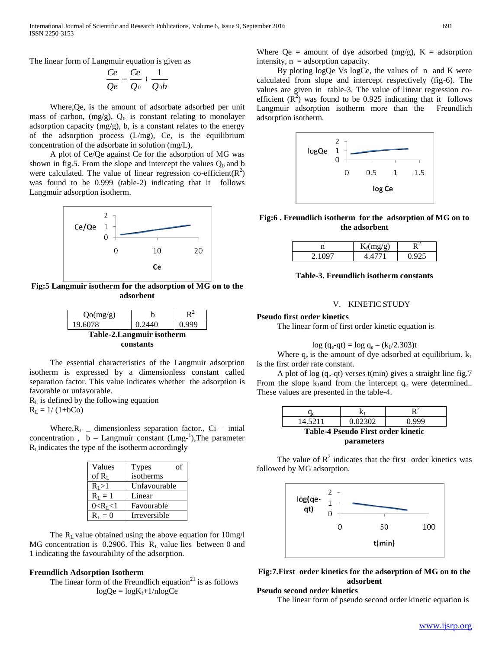The linear form of Langmuir equation is given as

$$
\frac{Ce}{Qe} = \frac{Ce}{Q_0} + \frac{1}{Q_0b}
$$

 Where,Qe, is the amount of adsorbate adsorbed per unit mass of carbon,  $(mg/g)$ ,  $Q_0$  is constant relating to monolayer adsorption capacity (mg/g), b, is a constant relates to the energy of the adsorption process (L/mg), Ce, is the equilibrium concentration of the adsorbate in solution (mg/L),

 A plot of Ce/Qe against Ce for the adsorption of MG was shown in fig.5. From the slope and intercept the values  $Q_0$  and b were calculated. The value of linear regression co-efficient( $R^2$ ) was found to be 0.999 (table-2) indicating that it follows Langmuir adsorption isotherm.



**Fig:5 Langmuir isotherm for the adsorption of MG on to the adsorbent**



 The essential characteristics of the Langmuir adsorption isotherm is expressed by a dimensionless constant called separation factor. This value indicates whether the adsorption is favorable or unfavorable.

 $R<sub>L</sub>$  is defined by the following equation

 $R_L = 1/(1+bCo)$ 

Where, $R_L$  – dimensionless separation factor., Ci – intial concentration,  $b -$  Langmuir constant  $(Lmg<sup>-1</sup>),$  The parameter  $R<sub>L</sub>$  indicates the type of the isotherm accordingly

| Values          | <b>Types</b><br>οť |  |
|-----------------|--------------------|--|
| of $R_{I}$      | isotherms          |  |
| $R_{I}>1$       | Unfavourable       |  |
| $R_{I} = 1$     | Linear             |  |
| $0 < R_{I} < 1$ | Favourable         |  |
| $= 0$           | Irreversible       |  |

The  $R_L$  value obtained using the above equation for 10mg/l MG concentration is 0.2906. This  $R<sub>L</sub>$  value lies between 0 and 1 indicating the favourability of the adsorption.

### **Freundlich Adsorption Isotherm**

The linear form of the Freundlich equation<sup>21</sup> is as follows  $logQe = logK_f + 1/nlogCe$ 

Where  $Qe =$  amount of dye adsorbed (mg/g),  $K =$  adsorption intensity,  $n =$  adsorption capacity.

 By ploting logQe Vs logCe, the values of n and K were calculated from slope and intercept respectively (fig-6). The values are given in table-3. The value of linear regression coefficient  $(R^2)$  was found to be 0.925 indicating that it follows Langmuir adsorption isotherm more than the Freundlich adsorption isotherm.



**Fig:6 . Freundlich isotherm for the adsorption of MG on to the adsorbent**

| $m\sigma/\sigma$<br>ເ⊿ |   |
|------------------------|---|
|                        | - |

## **Table-3. Freundlich isotherm constants**

## V. KINETIC STUDY

## **Pseudo first order kinetics**

The linear form of first order kinetic equation is

$$
log (q_e - qt) = log q_e - (k_1/2.303)t
$$

Where  $q_e$  is the amount of dye adsorbed at equilibrium.  $k_1$ is the first order rate constant.

A plot of log  $(q_e-qt)$  verses t(min) gives a straight line fig.7 From the slope  $k_1$ and from the intercept  $q_e$  were determined.. These values are presented in the table-4.

| Чe                                        |         |       |  |
|-------------------------------------------|---------|-------|--|
| 14.5211                                   | 0.02302 | 0.999 |  |
| <b>Table-4 Pseudo First order kinetic</b> |         |       |  |
| parameters                                |         |       |  |

The value of  $R^2$  indicates that the first order kinetics was followed by MG adsorption.





## **Pseudo second order kinetics**

The linear form of pseudo second order kinetic equation is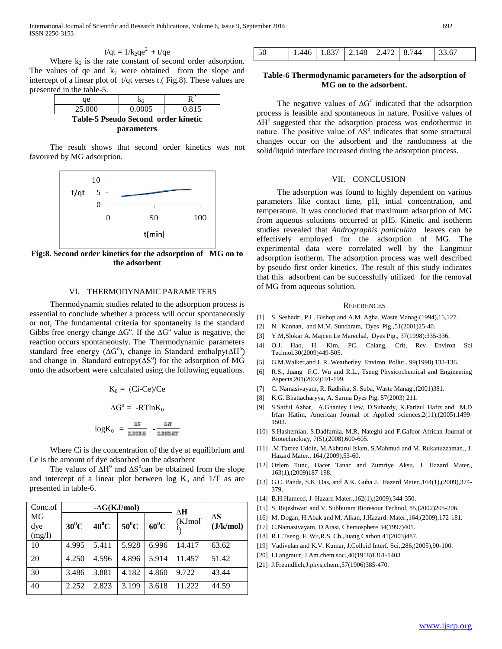International Journal of Scientific and Research Publications, Volume 6, Issue 9, September 2016 692 ISSN 2250-3153

$$
t/qt = 1/k_2qe^2 + t/qe
$$

Where  $k_2$  is the rate constant of second order adsorption. The values of qe and  $k_2$  were obtained from the slope and intercept of a linear plot of t/qt verses t.( Fig.8). These values are presented in the table-5.

| ae                                  | k٥     |       |
|-------------------------------------|--------|-------|
| 25,000                              | 0.0005 | 0.815 |
| Table-5 Pseudo Second order kinetic |        |       |
| <i>parameters</i>                   |        |       |

 The result shows that second order kinetics was not favoured by MG adsorption.



**Fig:8. Second order kinetics for the adsorption of MG on to the adsorbent**

#### VI. THERMODYNAMIC PARAMETERS

 Thermodynamic studies related to the adsorption process is essential to conclude whether a process will occur spontaneously or not, The fundamental criteria for spontaneity is the standard Gibbs free energy change  $\Delta G^{\circ}$ . If the  $\Delta G^{\circ}$  value is negative, the reaction occurs spontaneously. The Thermodynamic parameters standard free energy ( $\Delta G^{\circ}$ ), change in Standard enthalpy( $\Delta H^{\circ}$ ) and change in Standard entropy( $\Delta S^{\circ}$ ) for the adsorption of MG onto the adsorbent were calculated using the following equations.

$$
K_0 = (Ci-Ce)/Ce
$$

$$
\Delta G^\circ = -RTlnK_0
$$

$$
logK_0 = \frac{\Delta s}{2.302R} = \frac{\Delta t}{2.302}
$$

 Where Ci is the concentration of the dye at equilibrium and Ce is the amount of dye adsorbed on the adsorbent

The values of  $\Delta H^{\circ}$  and  $\Delta S^{\circ}$ can be obtained from the slope and intercept of a linear plot between log  $K_0$  and  $1/T$  as are presented in table-6.

| Conc.of |         | $-\Delta G(KJ/mol)$ |          |         | ΔН                  |           |
|---------|---------|---------------------|----------|---------|---------------------|-----------|
| MG      |         |                     |          |         | (KJmol <sup>-</sup> | ΔS        |
| dye     | $30^0C$ | $40^0C$             | $50^0$ C | $60^0C$ |                     | (J/k/mol) |
| (mg/l)  |         |                     |          |         |                     |           |
| 10      | 4.995   | 5.411               | 5.928    | 6.996   | 14.417              | 63.62     |
| 20      | 4.250   | 4.596               | 4.896    | 5.914   | 11.457              | 51.42     |
|         |         |                     |          |         |                     |           |
| 30      | 3.486   | 3.881               | 4.182    | 4.860   | 9.722               | 43.44     |
| 40      | 2.252   | 2.823               | 3.199    | 3.618   | 11.222              | 44.59     |
|         |         |                     |          |         |                     |           |

| 1.446   1.837   2.148   2.472   8.744   33.67<br>50 |
|-----------------------------------------------------|
|-----------------------------------------------------|

## **Table-6 Thermodynamic parameters for the adsorption of MG on to the adsorbent.**

The negative values of  $\Delta G^{\circ}$  indicated that the adsorption process is feasible and spontaneous in nature. Positive values of  $\Delta H^{\circ}$  suggested that the adsorption process was endothermic in nature. The positive value of  $\Delta S^{\circ}$  indicates that some structural changes occur on the adsorbent and the randomness at the solid/liquid interface increased during the adsorption process.

#### VII. CONCLUSION

 The adsorption was found to highly dependent on various parameters like contact time, pH, intial concentration, and temperature. It was concluded that maximum adsorption of MG from aqueous solutions occurred at pH5. Kinetic and isotherm studies revealed that *Andrographis paniculata* leaves can be effectively employed for the adsorption of MG. The experimental data were correlated well by the Langmuir adsorption isotherm. The adsorption process was well described by pseudo first order kinetics. The result of this study indicates that this adsorbent can be successfully utilized for the removal of MG from aqueous solution.

#### **REFERENCES**

- [1] S. Seshadri, P.L. Bishop and A.M. Agha, Waste Manag.(1994),15,127.
- [2] N. Kannan, and M.M. Sundaram, Dyes Pig.,51(2001)25-40.
- [3] Y.M,Slokar A. Majcen Le Marechal, Dyes Pig., 37(1998):335-336.
- [4] O.J. Hao, H. Kim, PC. Chiang, Crit, Rev Environ Sci Technol.30(2009)449-505.
- [5] G.M.Walker,and L.R.,Weatherley Environ. Pollut., 99(1998) 133-136.
- [6] R.S., Juang F.C. Wu and R.L., Tseng Physicochemical and Engineering Aspects,201(2002)191-199.
- [7] C. Namasivayam, R. Radhika, S. Suba, Waste Manag.,(2001)381.
- [8] K.G. Bhattacharyya, A. Sarma Dyes Pig. 57(2003) 211.
- [9] S.Saiful Azhar, A.Ghaniey Liew, D.Suhardy, K.Farizul Hafiz and M.D Irfan Hatim, American Journal of Applied sciences,2(11),(2005),1499- 1503.
- [10] S.Hashemian, S.Dadfarnia, M.R. Nateghi and F.Gafoor African Journal of Biotechnology, 7(5),(2008),600-605.
- [11] .M.Tamez Uddin, M.Akhtarul Islam, S.Mahmud and M. Rukanuzzaman., J. Hazard Mater., 164,(2009),53-60.
- [12] Ozlem Tunc, Hacer Tanac and Zumriye Aksu, J. Hazard Mater., 163(1),(2009)187-198.
- [13] G.C. Panda, S.K. Das, and A.K. Guha J. Hazard Mater., 164(1), (2009), 374-379.
- [14] B.H.Hameed, J Hazard Mater.,162(1),(2009),344-350.
- [15] S. Rajeshwari and V. Subburam Bioresour Technol, 85,(2002)205-206.
- [16] M. Dogan, H.Abak and M. Alkan, J.Hazard. Mater.,164,(2009),172-181.
- [17] C.Namasivayam, D.Arasi, Chemosphere 34(1997)401.
- [18] R.L.Tseng, F. Wu,R.S. Ch.,Juang Carbon 41(2003)487.
- [19] Vadivelan and K.V. Kumar, J.Colloid Interf. Sci.,286,(2005),90-100.
- [20] I.Langmuir, J.Am.chem.soc.,40(1918)1361-1403
- [21] J.Freundlich,J.phys,chem.,57(1906)385-470.